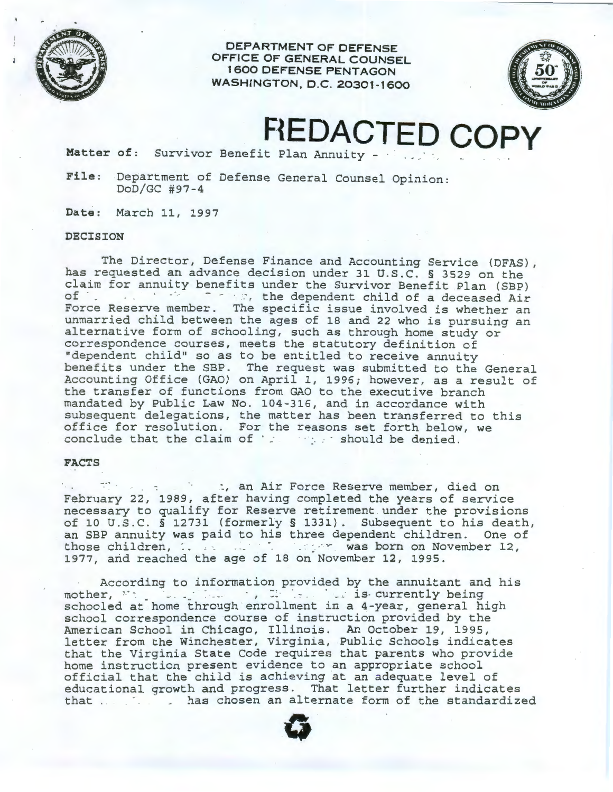

**DEPARTMENT OF DEFENSE OFFICE OF GENERAL COUNSEL 1 600 DEFENSE PENTAGON WASHINGTON, D.C. 20301-1600** 



**FtEDACTED COPY** 

Matter of: Survivor Benefit Plan Annuity - **· · · · · · · · · · · · · ·** 

File: Department of Defense General Counsel Opinion: DoD/GC #97-4

Date: March 11, 1997

## **DECISION**

The Director, Defense Finance and Accounting Service (DFAS), has requested an advance decision under 31 U.S.C. § 3529 on the claim for annuity benefits under the Survivor Benefit Plan (SBP) of · \_ · ~. the dependent child of a deceased Air Force Reserve member. The specific issue involved is whether an unmarried child between the ages of 18 and 22 who is pursuing an alternative form of schooling, such as through home study or correspondence courses, meets the statutory definition of "dependent child" so as to be entitled to receive annuity benefits under the SBP. The request was submitted to the General Accounting Office (GAO) on April 1, 1996; however, as a result of the transfer of functions from GAO to the executive branch mandated by Public Law No. 104-316, and in accordance with subsequent delegations, the matter has been transferred to this office for resolution . For the reasons set forth below, we conclude that the claim of · ~ *:* · should be denied.

## **FACTS**

: which is an Air Force Reserve member, died on February 22, 1989, after having completed the years of service necessary to qualify for Reserve retirement . under the provisions of 10 U.S.C. § 12731 (formerly § 1331). Subsequent to his death, an SBP annuity was paid to his three dependent children. One of those children, ... ... ... ... was born on November 12, 1977, and reached the age of 18 on November 12, 1995.

According to information provided by the annuitant and his mother, · -. \_ . , · · · \_. is- currently being schooled at home through enrollment in a 4-year, general high school correspondence course of instruction provided by the American School in Chicago, Illinois. An October 19, 1995, letter from the Winchester, Virginia, Public Schools indicates that the Virginia State Code requires that parents who provide home instruction present evidence to an appropriate school official that the child is achieving at an adequate level of educational growth and progress. That letter further indicates that . . has chosen an alternate form of the standardized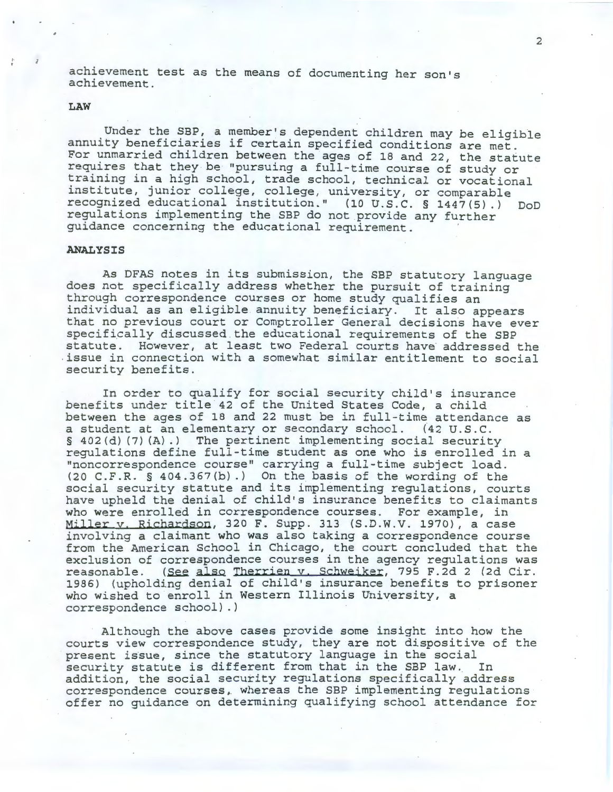achievement test as the means of documenting her son's achievement.

## **LAW**

Under the SBP, a member's dependent children may be eligible annuity beneficiaries if certain specified conditions are met. For unmarried children between the ages of 18 and 22, the statute requires that they be "pursuing a full-time course of study or training in a high school, trade school, technical or vocational institute, junior college, college, university, or comparable recognized educational institution." (10 U.S.C. § 1447(5) .) DoD regulations implementing the SBP do not provide any further guidance concerning the educational requirement.

## **ANALYSIS**

As DFAS notes in its submission, the SBP statutory language does not specifically address whether the pursuit of training through correspondence courses or home study qualifies an individual as an eligible annuity beneficiary. It also appears that no previous court or Comptroller General decisions have ever specifically discussed . the educational requirements of the SBP statute. However, at least two Federal courts have addressed the .issue in connection with a somewhat similar entitlement to social security benefits.

In order to qualify for social security child's insurance benefits under title 42 of the United States Code, a child between the ages of 18 and 22 must be in full-time attendance as a student at an elementary or secondary school. (42 U.S.C. § 402(d) (7) (A).) The pertinent implementing social security regulations define full-time student as one who is enrolled in a "noncorrespondence course" carrying a full-time subject load. (20 C.F.R. § 404.367(b) .) On the basis of the wording of the social security statute and its implementing regulations, courts have upheld the denial of child's insurance benefits to claimants who were enrolled in correspondence courses. For example, in Miller v. Richardson, 320 F. Supp. 313 (S.D.W.V. 1970), a case involving a claimant who was also taking a correspondence course from the American School in Chicago, the court concluded that the exclusion of correspondence courses in the agency regulations was reasonable. (See also Therrien v. Schweiker, 795 F.2d 2 (2d Cir. 1986) (upholding denial of child's insurance benefits to prisoner who wished to enroll in Western Illinois University, a correspondence school).)

Although the above cases provide some insight into how the courts view correspondence study, they are not dispositive of the present issue, since the statutory language in the social security statute is different from that in the SBP law.. In addition, the social security regulations specifically address correspondence courses, whereas the SBP implementing regulations offer no guidance on determining qualifying school attendance for